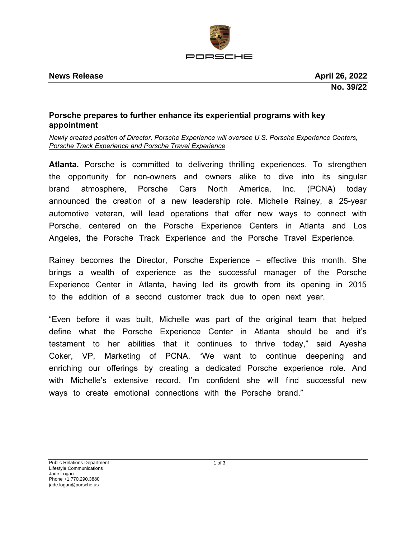

## **Porsche prepares to further enhance its experiential programs with key appointment**

*Newly created position of Director, Porsche Experience will oversee U.S. Porsche Experience Centers, Porsche Track Experience and Porsche Travel Experience*

**Atlanta.** Porsche is committed to delivering thrilling experiences. To strengthen the opportunity for non-owners and owners alike to dive into its singular brand atmosphere, Porsche Cars North America, Inc. (PCNA) today announced the creation of a new leadership role. Michelle Rainey, a 25-year automotive veteran, will lead operations that offer new ways to connect with Porsche, centered on the Porsche Experience Centers in Atlanta and Los Angeles, the Porsche Track Experience and the Porsche Travel Experience.

Rainey becomes the Director, Porsche Experience – effective this month. She brings a wealth of experience as the successful manager of the Porsche Experience Center in Atlanta, having led its growth from its opening in 2015 to the addition of a second customer track due to open next year.

"Even before it was built, Michelle was part of the original team that helped define what the Porsche Experience Center in Atlanta should be and it's testament to her abilities that it continues to thrive today," said Ayesha Coker, VP, Marketing of PCNA. "We want to continue deepening and enriching our offerings by creating a dedicated Porsche experience role. And with Michelle's extensive record, I'm confident she will find successful new ways to create emotional connections with the Porsche brand."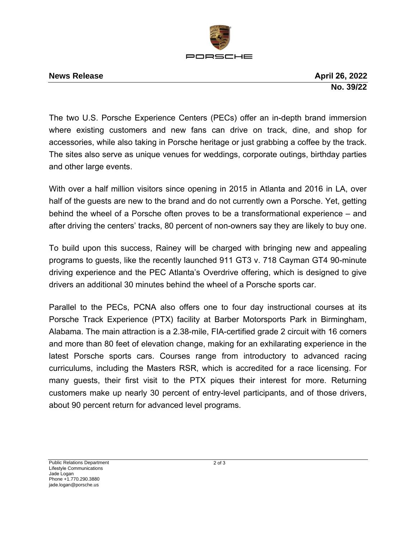

## **News Release April 26, 2022**

**No. 39/22**

The two U.S. Porsche Experience Centers (PECs) offer an in-depth brand immersion where existing customers and new fans can drive on track, dine, and shop for accessories, while also taking in Porsche heritage or just grabbing a coffee by the track. The sites also serve as unique venues for weddings, corporate outings, birthday parties and other large events.

With over a half million visitors since opening in 2015 in Atlanta and 2016 in LA, over half of the guests are new to the brand and do not currently own a Porsche. Yet, getting behind the wheel of a Porsche often proves to be a transformational experience – and after driving the centers' tracks, 80 percent of non-owners say they are likely to buy one.

To build upon this success, Rainey will be charged with bringing new and appealing programs to guests, like the recently launched 911 GT3 v. 718 Cayman GT4 90-minute driving experience and the PEC Atlanta's Overdrive offering, which is designed to give drivers an additional 30 minutes behind the wheel of a Porsche sports car.

Parallel to the PECs, PCNA also offers one to four day instructional courses at its Porsche Track Experience (PTX) facility at Barber Motorsports Park in Birmingham, Alabama. The main attraction is a 2.38-mile, FIA-certified grade 2 circuit with 16 corners and more than 80 feet of elevation change, making for an exhilarating experience in the latest Porsche sports cars. Courses range from introductory to advanced racing curriculums, including the Masters RSR, which is accredited for a race licensing. For many guests, their first visit to the PTX piques their interest for more. Returning customers make up nearly 30 percent of entry-level participants, and of those drivers, about 90 percent return for advanced level programs.